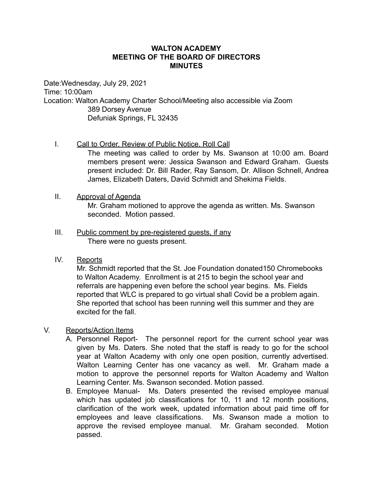## **WALTON ACADEMY MEETING OF THE BOARD OF DIRECTORS MINUTES**

Date:Wednesday, July 29, 2021 Time: 10:00am Location: Walton Academy Charter School/Meeting also accessible via Zoom 389 Dorsey Avenue Defuniak Springs, FL 32435

### I. Call to Order, Review of Public Notice, Roll Call

The meeting was called to order by Ms. Swanson at 10:00 am. Board members present were: Jessica Swanson and Edward Graham. Guests present included: Dr. Bill Rader, Ray Sansom, Dr. Allison Schnell, Andrea James, Elizabeth Daters, David Schmidt and Shekima Fields.

#### II. Approval of Agenda

Mr. Graham motioned to approve the agenda as written. Ms. Swanson seconded. Motion passed.

III. Public comment by pre-registered guests, if any There were no guests present.

## IV. Reports

Mr. Schmidt reported that the St. Joe Foundation donated150 Chromebooks to Walton Academy. Enrollment is at 215 to begin the school year and referrals are happening even before the school year begins. Ms. Fields reported that WLC is prepared to go virtual shall Covid be a problem again. She reported that school has been running well this summer and they are excited for the fall

### V. Reports/Action Items

- A. Personnel Report- The personnel report for the current school year was given by Ms. Daters. She noted that the staff is ready to go for the school year at Walton Academy with only one open position, currently advertised. Walton Learning Center has one vacancy as well. Mr. Graham made a motion to approve the personnel reports for Walton Academy and Walton Learning Center. Ms. Swanson seconded. Motion passed.
- B. Employee Manual- Ms. Daters presented the revised employee manual which has updated job classifications for 10, 11 and 12 month positions, clarification of the work week, updated information about paid time off for employees and leave classifications. Ms. Swanson made a motion to approve the revised employee manual. Mr. Graham seconded. Motion passed.